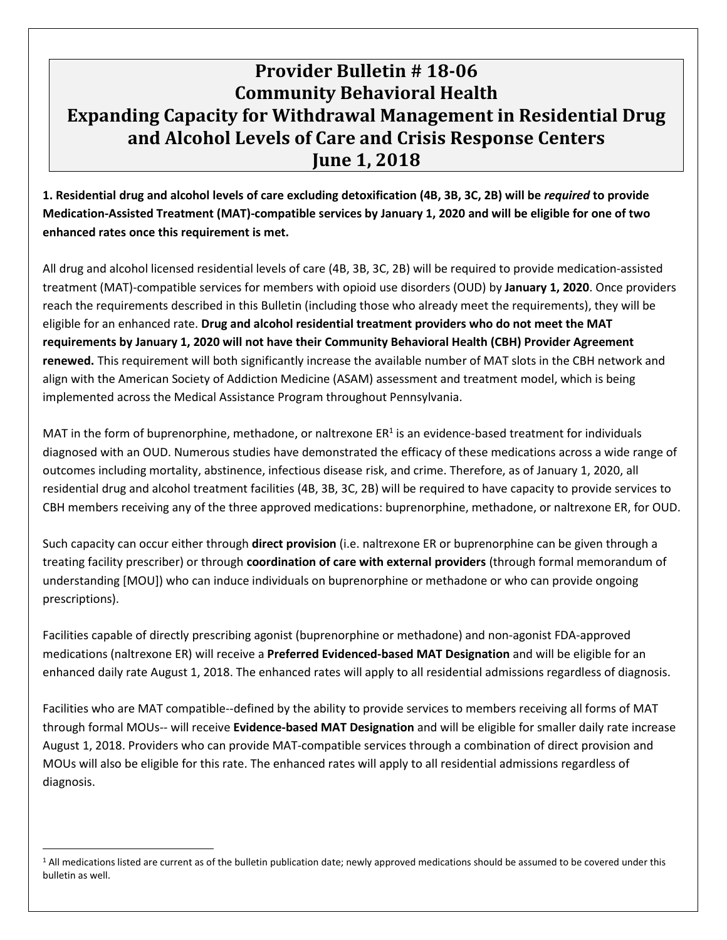## **Provider Bulletin # 18-06 Community Behavioral Health Expanding Capacity for Withdrawal Management in Residential Drug and Alcohol Levels of Care and Crisis Response Centers June 1, 2018**

**1. Residential drug and alcohol levels of care excluding detoxification (4B, 3B, 3C, 2B) will be** *required* **to provide Medication-Assisted Treatment (MAT)-compatible services by January 1, 2020 and will be eligible for one of two enhanced rates once this requirement is met.**

All drug and alcohol licensed residential levels of care (4B, 3B, 3C, 2B) will be required to provide medication-assisted treatment (MAT)-compatible services for members with opioid use disorders (OUD) by **January 1, 2020**. Once providers reach the requirements described in this Bulletin (including those who already meet the requirements), they will be eligible for an enhanced rate. **Drug and alcohol residential treatment providers who do not meet the MAT requirements by January 1, 2020 will not have their Community Behavioral Health (CBH) Provider Agreement renewed.** This requirement will both significantly increase the available number of MAT slots in the CBH network and align with the American Society of Addiction Medicine (ASAM) assessment and treatment model, which is being implemented across the Medical Assistance Program throughout Pennsylvania.

MAT in the form of buprenorphine, methadone, or naltrexone  $ER<sup>1</sup>$  is an evidence-based treatment for individuals diagnosed with an OUD. Numerous studies have demonstrated the efficacy of these medications across a wide range of outcomes including mortality, abstinence, infectious disease risk, and crime. Therefore, as of January 1, 2020, all residential drug and alcohol treatment facilities (4B, 3B, 3C, 2B) will be required to have capacity to provide services to CBH members receiving any of the three approved medications: buprenorphine, methadone, or naltrexone ER, for OUD.

Such capacity can occur either through **direct provision** (i.e. naltrexone ER or buprenorphine can be given through a treating facility prescriber) or through **coordination of care with external providers** (through formal memorandum of understanding [MOU]) who can induce individuals on buprenorphine or methadone or who can provide ongoing prescriptions).

Facilities capable of directly prescribing agonist (buprenorphine or methadone) and non-agonist FDA-approved medications (naltrexone ER) will receive a **Preferred Evidenced-based MAT Designation** and will be eligible for an enhanced daily rate August 1, 2018. The enhanced rates will apply to all residential admissions regardless of diagnosis.

Facilities who are MAT compatible--defined by the ability to provide services to members receiving all forms of MAT through formal MOUs-- will receive **Evidence-based MAT Designation** and will be eligible for smaller daily rate increase August 1, 2018. Providers who can provide MAT-compatible services through a combination of direct provision and MOUs will also be eligible for this rate. The enhanced rates will apply to all residential admissions regardless of diagnosis.

 $\overline{a}$ 

<sup>&</sup>lt;sup>1</sup> All medications listed are current as of the bulletin publication date; newly approved medications should be assumed to be covered under this bulletin as well.